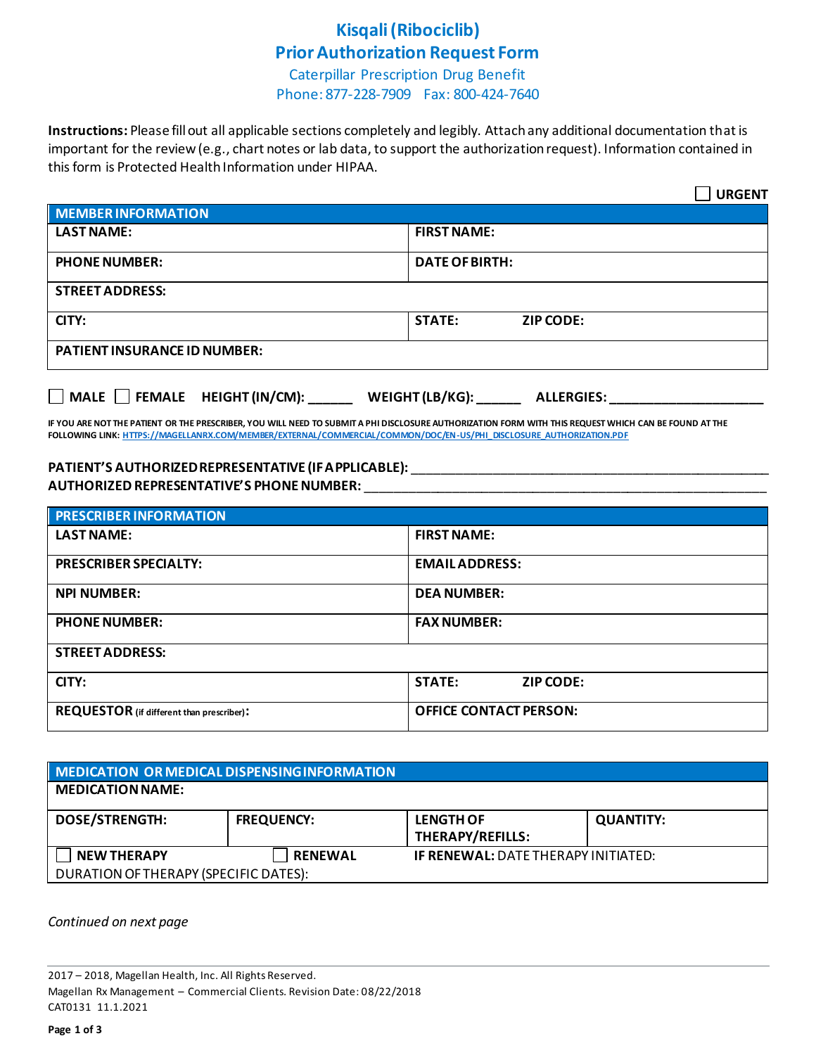### **Kisqali (Ribociclib) Prior Authorization Request Form**

Caterpillar Prescription Drug Benefit Phone: 877-228-7909 Fax: 800-424-7640

**Instructions:** Please fill out all applicable sections completely and legibly. Attach any additional documentation that is important for the review (e.g., chart notes or lab data, to support the authorization request). Information contained in this form is Protected Health Information under HIPAA.

|                                                                                                                                                                                                                                           | <b>URGENT</b>                     |  |
|-------------------------------------------------------------------------------------------------------------------------------------------------------------------------------------------------------------------------------------------|-----------------------------------|--|
| MEMBER INFORMATION                                                                                                                                                                                                                        |                                   |  |
| <b>LAST NAME:</b>                                                                                                                                                                                                                         | <b>FIRST NAME:</b>                |  |
| <b>PHONE NUMBER:</b>                                                                                                                                                                                                                      | <b>DATE OF BIRTH:</b>             |  |
| <b>STREET ADDRESS:</b>                                                                                                                                                                                                                    |                                   |  |
| CITY:                                                                                                                                                                                                                                     | <b>STATE:</b><br><b>ZIP CODE:</b> |  |
| <b>PATIENT INSURANCE ID NUMBER:</b>                                                                                                                                                                                                       |                                   |  |
| □ MALE □ FEMALE HEIGHT (IN/CM): ______ WEIGHT (LB/KG): ______ ALLERGIES: ___________<br>IF VOLLABE MOTTLIE BATIENT OB THE BRECCRIBER VOLLMUL MEER TO CUBARE A BULBICCLOCURE AUTHORIZATION FORMAMENTUTUC BEQUECT MURCH CAN BE FOUND AT THE |                                   |  |

**IF YOU ARE NOT THE PATIENT OR THE PRESCRIBER, YOU WILL NEED TO SUBMIT A PHI DISCLOSURE AUTHORIZATION FORM WITH THIS REQUEST WHICH CAN BE FOUND AT THE FOLLOWING LINK[: HTTPS://MAGELLANRX.COM/MEMBER/EXTERNAL/COMMERCIAL/COMMON/DOC/EN-US/PHI\\_DISCLOSURE\\_AUTHORIZATION.PDF](https://magellanrx.com/member/external/commercial/common/doc/en-us/PHI_Disclosure_Authorization.pdf)**

#### **PATIENT'S AUTHORIZED REPRESENTATIVE (IF APPLICABLE):** \_\_\_\_\_\_\_\_\_\_\_\_\_\_\_\_\_\_\_\_\_\_\_\_\_\_\_\_\_\_\_\_\_\_\_\_\_\_\_\_\_\_\_\_\_\_\_\_\_ **AUTHORIZED REPRESENTATIVE'S PHONE NUMBER:** \_\_\_\_\_\_\_\_\_\_\_\_\_\_\_\_\_\_\_\_\_\_\_\_\_\_\_\_\_\_\_\_\_\_\_\_\_\_\_\_\_\_\_\_\_\_\_\_\_\_\_\_\_\_\_

| <b>PRESCRIBER INFORMATION</b>             |                                   |  |
|-------------------------------------------|-----------------------------------|--|
| <b>LAST NAME:</b>                         | <b>FIRST NAME:</b>                |  |
| <b>PRESCRIBER SPECIALTY:</b>              | <b>EMAILADDRESS:</b>              |  |
| <b>NPI NUMBER:</b>                        | <b>DEA NUMBER:</b>                |  |
| <b>PHONE NUMBER:</b>                      | <b>FAX NUMBER:</b>                |  |
| <b>STREET ADDRESS:</b>                    |                                   |  |
| CITY:                                     | <b>STATE:</b><br><b>ZIP CODE:</b> |  |
| REQUESTOR (if different than prescriber): | <b>OFFICE CONTACT PERSON:</b>     |  |

| MEDICATION OR MEDICAL DISPENSING INFORMATION |                   |                                             |                  |  |
|----------------------------------------------|-------------------|---------------------------------------------|------------------|--|
| <b>MEDICATION NAME:</b>                      |                   |                                             |                  |  |
| <b>DOSE/STRENGTH:</b>                        | <b>FREQUENCY:</b> | <b>LENGTH OF</b><br><b>THERAPY/REFILLS:</b> | <b>QUANTITY:</b> |  |
| <b>NEW THERAPY</b>                           | <b>RENEWAL</b>    | <b>IF RENEWAL: DATE THERAPY INITIATED:</b>  |                  |  |
| DURATION OF THERAPY (SPECIFIC DATES):        |                   |                                             |                  |  |

*Continued on next page*

<sup>2017</sup> – 2018, Magellan Health, Inc. All Rights Reserved. Magellan Rx Management – Commercial Clients. Revision Date: 08/22/2018 CAT0131 11.1.2021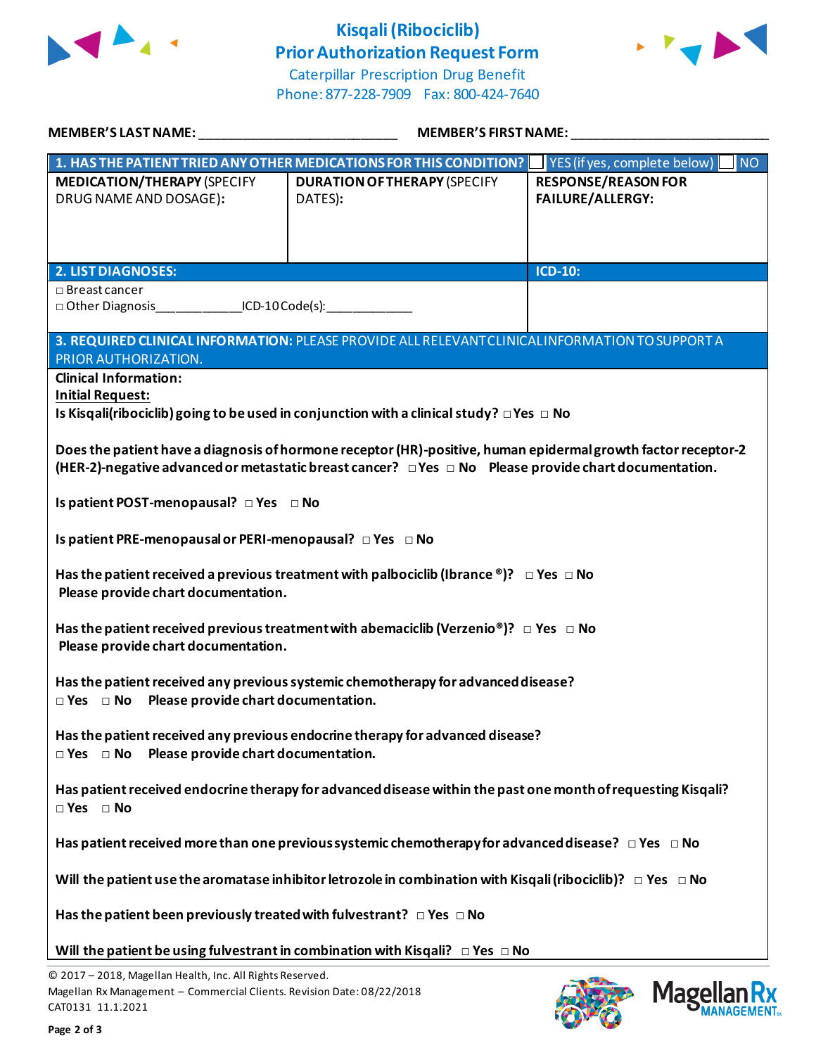

## **Kisqali(Ribociclib) Prior Authorization Request Form**



Caterpillar Prescription Drug Benefit Phone: 877-228-7909 Fax: 800-424-7640

| MEMBER'S LAST NAME: WARD AND THE MANUSCRIPT OF THE STATE OF THE STATE OF THE STATE OF THE STATE OF THE STATE O                                                                                                                   | <b>MEMBER'S FIRST NAME:</b>                                                                                  |                                                       |  |  |
|----------------------------------------------------------------------------------------------------------------------------------------------------------------------------------------------------------------------------------|--------------------------------------------------------------------------------------------------------------|-------------------------------------------------------|--|--|
|                                                                                                                                                                                                                                  | 1. HAS THE PATIENT TRIED ANY OTHER MEDICATIONS FOR THIS CONDITION? VES (if yes, complete below)              | <b>NO</b>                                             |  |  |
| <b>MEDICATION/THERAPY (SPECIFY</b><br>DRUG NAME AND DOSAGE):                                                                                                                                                                     | <b>DURATION OF THERAPY (SPECIFY</b><br>DATES):                                                               | <b>RESPONSE/REASON FOR</b><br><b>FAILURE/ALLERGY:</b> |  |  |
|                                                                                                                                                                                                                                  |                                                                                                              |                                                       |  |  |
| <b>2. LIST DIAGNOSES:</b><br>$\Box$ Breast cancer                                                                                                                                                                                |                                                                                                              | ICD-10:                                               |  |  |
| □ Other Diagnosis ________________ICD-10 Code(s): _____________________________                                                                                                                                                  |                                                                                                              |                                                       |  |  |
| PRIOR AUTHORIZATION.                                                                                                                                                                                                             | 3. REQUIRED CLINICAL INFORMATION: PLEASE PROVIDE ALL RELEVANT CLINICAL INFORMATION TO SUPPORT A              |                                                       |  |  |
| <b>Clinical Information:</b><br><b>Initial Request:</b>                                                                                                                                                                          | Is Kisqali(ribociclib) going to be used in conjunction with a clinical study? $\Box$ Yes $\Box$ No           |                                                       |  |  |
| Does the patient have a diagnosis of hormone receptor (HR)-positive, human epidermal growth factor receptor-2<br>(HER-2)-negative advanced or metastatic breast cancer? $\Box$ Yes $\Box$ No Please provide chart documentation. |                                                                                                              |                                                       |  |  |
| Is patient POST-menopausal? DYes DNo                                                                                                                                                                                             |                                                                                                              |                                                       |  |  |
| Is patient PRE-menopausal or PERI-menopausal? $\Box$ Yes $\Box$ No                                                                                                                                                               |                                                                                                              |                                                       |  |  |
| Has the patient received a previous treatment with palbociclib (Ibrance ®)? $\Box$ Yes $\Box$ No<br>Please provide chart documentation.                                                                                          |                                                                                                              |                                                       |  |  |
| Has the patient received previous treatment with abemaciclib (Verzenio®)? $\Box$ Yes $\Box$ No<br>Please provide chart documentation.                                                                                            |                                                                                                              |                                                       |  |  |
| Has the patient received any previous systemic chemotherapy for advanced disease?<br>$\Box$ Yes $\Box$ No Please provide chart documentation.                                                                                    |                                                                                                              |                                                       |  |  |
| Has the patient received any previous endocrine therapy for advanced disease?<br>$\Box$ Yes $\Box$ No Please provide chart documentation.                                                                                        |                                                                                                              |                                                       |  |  |
| $\Box$ Yes $\Box$ No                                                                                                                                                                                                             | Has patient received endocrine therapy for advanced disease within the past one month of requesting Kisqali? |                                                       |  |  |
|                                                                                                                                                                                                                                  | Has patient received more than one previous systemic chemotherapy for advanced disease? $\Box$ Yes $\Box$ No |                                                       |  |  |
| Will the patient use the aromatase inhibitor letrozole in combination with Kisqali (ribociclib)? $\Box$ Yes $\Box$ No                                                                                                            |                                                                                                              |                                                       |  |  |
| Has the patient been previously treated with fulvestrant? $\Box$ Yes $\Box$ No                                                                                                                                                   |                                                                                                              |                                                       |  |  |
|                                                                                                                                                                                                                                  | Will the patient be using fulvestrant in combination with Kisqali? $\Box$ Yes $\Box$ No                      |                                                       |  |  |

© 2017 – 2018, Magellan Health, Inc. All Rights Reserved. Magellan Rx Management – Commercial Clients. Revision Date: 08/22/2018 CAT0131 11.1.2021